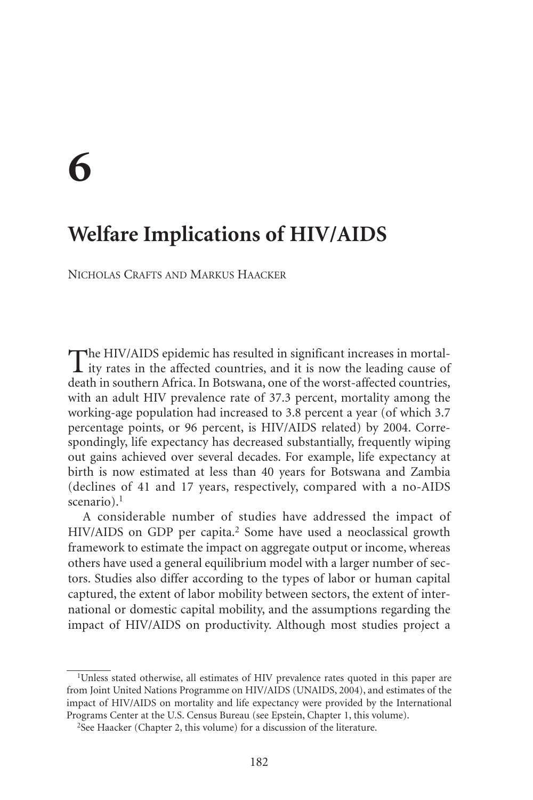# **6**

# **Welfare Implications of HIV/AIDS**

NICHOLAS CRAFTS AND MARKUS HAACKER

The HIV/AIDS epidemic has resulted in significant increases in mortal-ity rates in the affected countries, and it is now the leading cause of death in southern Africa. In Botswana, one of the worst-affected countries, with an adult HIV prevalence rate of 37.3 percent, mortality among the working-age population had increased to 3.8 percent a year (of which 3.7 percentage points, or 96 percent, is HIV/AIDS related) by 2004. Correspondingly, life expectancy has decreased substantially, frequently wiping out gains achieved over several decades. For example, life expectancy at birth is now estimated at less than 40 years for Botswana and Zambia (declines of 41 and 17 years, respectively, compared with a no-AIDS scenario).<sup>1</sup>

A considerable number of studies have addressed the impact of HIV/AIDS on GDP per capita.<sup>2</sup> Some have used a neoclassical growth framework to estimate the impact on aggregate output or income, whereas others have used a general equilibrium model with a larger number of sectors. Studies also differ according to the types of labor or human capital captured, the extent of labor mobility between sectors, the extent of international or domestic capital mobility, and the assumptions regarding the impact of HIV/AIDS on productivity. Although most studies project a

<sup>&</sup>lt;sup>1</sup>Unless stated otherwise, all estimates of HIV prevalence rates quoted in this paper are from Joint United Nations Programme on HIV/AIDS (UNAIDS, 2004), and estimates of the impact of HIV/AIDS on mortality and life expectancy were provided by the International Programs Center at the U.S. Census Bureau (see Epstein, Chapter 1, this volume).

<sup>2</sup>See Haacker (Chapter 2, this volume) for a discussion of the literature.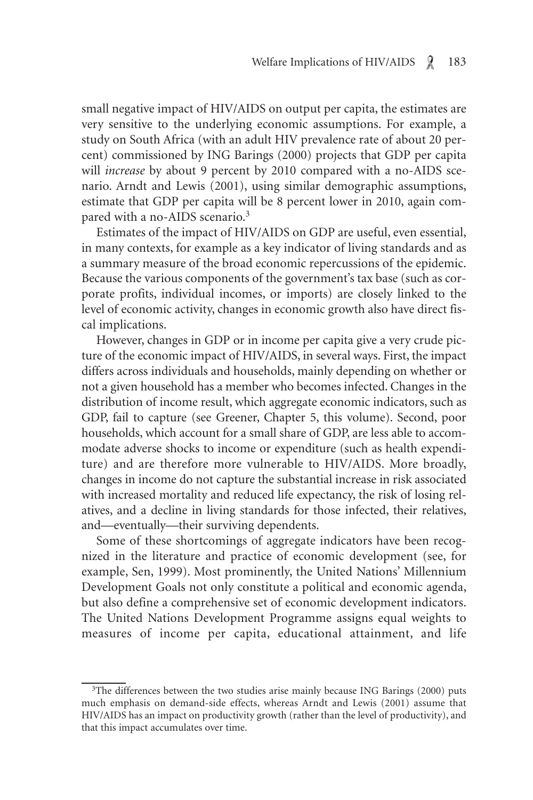small negative impact of HIV/AIDS on output per capita, the estimates are very sensitive to the underlying economic assumptions. For example, a study on South Africa (with an adult HIV prevalence rate of about 20 percent) commissioned by ING Barings (2000) projects that GDP per capita will *increase* by about 9 percent by 2010 compared with a no-AIDS scenario. Arndt and Lewis (2001), using similar demographic assumptions, estimate that GDP per capita will be 8 percent lower in 2010, again compared with a no-AIDS scenario.<sup>3</sup>

Estimates of the impact of HIV/AIDS on GDP are useful, even essential, in many contexts, for example as a key indicator of living standards and as a summary measure of the broad economic repercussions of the epidemic. Because the various components of the government's tax base (such as corporate profits, individual incomes, or imports) are closely linked to the level of economic activity, changes in economic growth also have direct fiscal implications.

However, changes in GDP or in income per capita give a very crude picture of the economic impact of HIV/AIDS, in several ways. First, the impact differs across individuals and households, mainly depending on whether or not a given household has a member who becomes infected. Changes in the distribution of income result, which aggregate economic indicators, such as GDP, fail to capture (see Greener, Chapter 5, this volume). Second, poor households, which account for a small share of GDP, are less able to accommodate adverse shocks to income or expenditure (such as health expenditure) and are therefore more vulnerable to HIV/AIDS. More broadly, changes in income do not capture the substantial increase in risk associated with increased mortality and reduced life expectancy, the risk of losing relatives, and a decline in living standards for those infected, their relatives, and—eventually—their surviving dependents.

Some of these shortcomings of aggregate indicators have been recognized in the literature and practice of economic development (see, for example, Sen, 1999). Most prominently, the United Nations' Millennium Development Goals not only constitute a political and economic agenda, but also define a comprehensive set of economic development indicators. The United Nations Development Programme assigns equal weights to measures of income per capita, educational attainment, and life

<sup>&</sup>lt;sup>3</sup>The differences between the two studies arise mainly because ING Barings (2000) puts much emphasis on demand-side effects, whereas Arndt and Lewis (2001) assume that HIV/AIDS has an impact on productivity growth (rather than the level of productivity), and that this impact accumulates over time.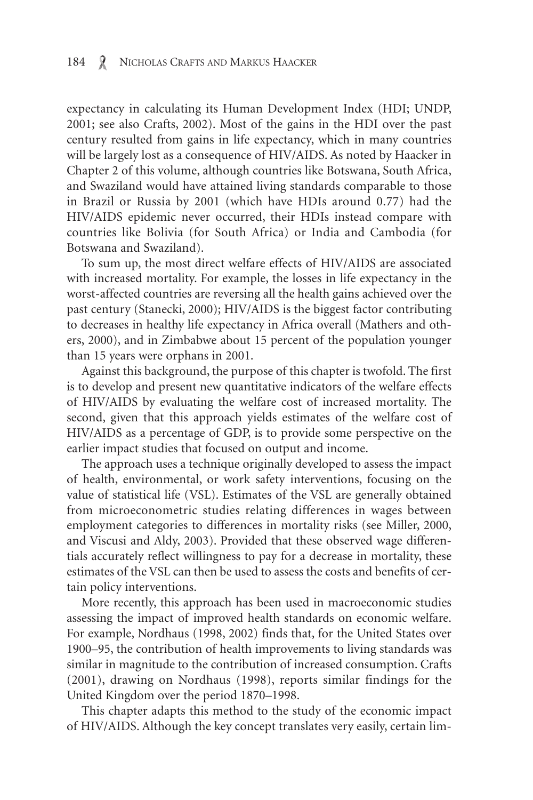expectancy in calculating its Human Development Index (HDI; UNDP, 2001; see also Crafts, 2002). Most of the gains in the HDI over the past century resulted from gains in life expectancy, which in many countries will be largely lost as a consequence of HIV/AIDS. As noted by Haacker in Chapter 2 of this volume, although countries like Botswana, South Africa, and Swaziland would have attained living standards comparable to those in Brazil or Russia by 2001 (which have HDIs around 0.77) had the HIV/AIDS epidemic never occurred, their HDIs instead compare with countries like Bolivia (for South Africa) or India and Cambodia (for Botswana and Swaziland).

To sum up, the most direct welfare effects of HIV/AIDS are associated with increased mortality. For example, the losses in life expectancy in the worst-affected countries are reversing all the health gains achieved over the past century (Stanecki, 2000); HIV/AIDS is the biggest factor contributing to decreases in healthy life expectancy in Africa overall (Mathers and others, 2000), and in Zimbabwe about 15 percent of the population younger than 15 years were orphans in 2001.

Against this background, the purpose of this chapter is twofold. The first is to develop and present new quantitative indicators of the welfare effects of HIV/AIDS by evaluating the welfare cost of increased mortality. The second, given that this approach yields estimates of the welfare cost of HIV/AIDS as a percentage of GDP, is to provide some perspective on the earlier impact studies that focused on output and income.

The approach uses a technique originally developed to assess the impact of health, environmental, or work safety interventions, focusing on the value of statistical life (VSL). Estimates of the VSL are generally obtained from microeconometric studies relating differences in wages between employment categories to differences in mortality risks (see Miller, 2000, and Viscusi and Aldy, 2003). Provided that these observed wage differentials accurately reflect willingness to pay for a decrease in mortality, these estimates of the VSL can then be used to assess the costs and benefits of certain policy interventions.

More recently, this approach has been used in macroeconomic studies assessing the impact of improved health standards on economic welfare. For example, Nordhaus (1998, 2002) finds that, for the United States over 1900–95, the contribution of health improvements to living standards was similar in magnitude to the contribution of increased consumption. Crafts (2001), drawing on Nordhaus (1998), reports similar findings for the United Kingdom over the period 1870–1998.

This chapter adapts this method to the study of the economic impact of HIV/AIDS. Although the key concept translates very easily, certain lim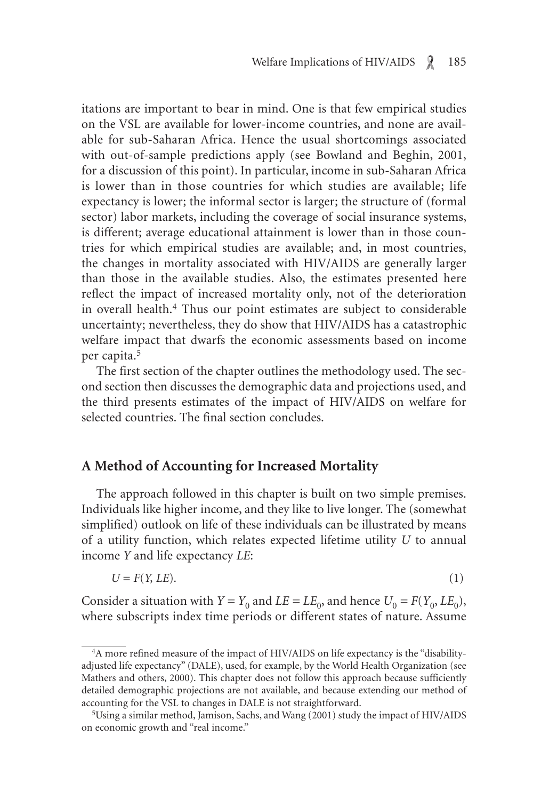itations are important to bear in mind. One is that few empirical studies on the VSL are available for lower-income countries, and none are available for sub-Saharan Africa. Hence the usual shortcomings associated with out-of-sample predictions apply (see Bowland and Beghin, 2001, for a discussion of this point). In particular, income in sub-Saharan Africa is lower than in those countries for which studies are available; life expectancy is lower; the informal sector is larger; the structure of (formal sector) labor markets, including the coverage of social insurance systems, is different; average educational attainment is lower than in those countries for which empirical studies are available; and, in most countries, the changes in mortality associated with HIV/AIDS are generally larger than those in the available studies. Also, the estimates presented here reflect the impact of increased mortality only, not of the deterioration in overall health.4 Thus our point estimates are subject to considerable uncertainty; nevertheless, they do show that HIV/AIDS has a catastrophic welfare impact that dwarfs the economic assessments based on income per capita.5

The first section of the chapter outlines the methodology used. The second section then discusses the demographic data and projections used, and the third presents estimates of the impact of HIV/AIDS on welfare for selected countries. The final section concludes.

# **A Method of Accounting for Increased Mortality**

The approach followed in this chapter is built on two simple premises. Individuals like higher income, and they like to live longer. The (somewhat simplified) outlook on life of these individuals can be illustrated by means of a utility function, which relates expected lifetime utility *U* to annual income *Y* and life expectancy *LE*:

$$
U = F(Y, LE). \tag{1}
$$

Consider a situation with  $Y = Y_0$  and  $LE = LE_0$ , and hence  $U_0 = F(Y_0, LE_0)$ , where subscripts index time periods or different states of nature. Assume

<sup>4</sup>A more refined measure of the impact of HIV/AIDS on life expectancy is the "disabilityadjusted life expectancy" (DALE), used, for example, by the World Health Organization (see Mathers and others, 2000). This chapter does not follow this approach because sufficiently detailed demographic projections are not available, and because extending our method of accounting for the VSL to changes in DALE is not straightforward.

<sup>5</sup>Using a similar method, Jamison, Sachs, and Wang (2001) study the impact of HIV/AIDS on economic growth and "real income."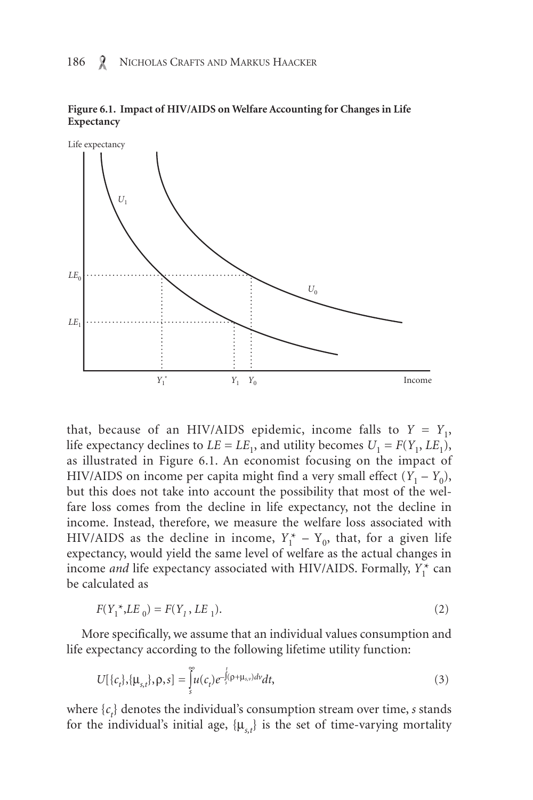

**Figure 6.1. Impact of HIV/AIDS on Welfare Accounting for Changes in Life Expectancy**

that, because of an HIV/AIDS epidemic, income falls to  $Y = Y_1$ , life expectancy declines to  $LE = LE_1$ , and utility becomes  $U_1 = F(Y_1, LE_1)$ , as illustrated in Figure 6.1. An economist focusing on the impact of HIV/AIDS on income per capita might find a very small effect  $(Y_1 - Y_0)$ , but this does not take into account the possibility that most of the welfare loss comes from the decline in life expectancy, not the decline in income. Instead, therefore, we measure the welfare loss associated with HIV/AIDS as the decline in income,  $Y_1^* - Y_0$ , that, for a given life expectancy, would yield the same level of welfare as the actual changes in income *and* life expectancy associated with HIV/AIDS. Formally,  $Y_1^*$  can be calculated as

$$
F(Y_1^*, LE_0) = F(Y_1, LE_1). \tag{2}
$$

More specifically, we assume that an individual values consumption and life expectancy according to the following lifetime utility function:

$$
U[\{c_t\}, \{\mu_{s,t}\}, \rho, s] = \int_s^{\infty} u(c_t) e^{-\int_s^t (\rho + \mu_{s,v}) dv} dt,
$$
\n(3)

where  $\{c_t\}$  denotes the individual's consumption stream over time, *s* stands for the individual's initial age,  $\{\mu_{s,t}\}\$ is the set of time-varying mortality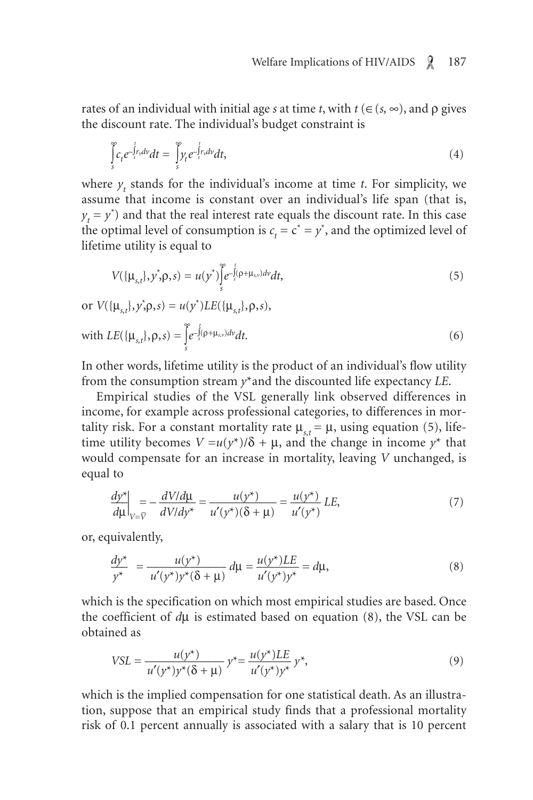rates of an individual with initial age *s* at time *t*, with *t* (∈(*s,* ∞), and ρ gives the discount rate. The individual's budget constraint is

$$
\int_{s}^{\infty} c_t e^{-\int_{s}^{t} r_s dv} dt = \int_{s}^{\infty} y_t e^{-\int_{s}^{t} r_s dv} dt,
$$
\n(4)

where  $y_t$  stands for the individual's income at time  $t$ . For simplicity, we assume that income is constant over an individual's life span (that is,  $y_t = y^*$  and that the real interest rate equals the discount rate. In this case the optimal level of consumption is  $c_t = c^* = y^*$ , and the optimized level of lifetime utility is equal to

$$
V(\{\mu_{s,t}\}, y^*, \rho, s) = u(y^*) \int_s^{\infty} e^{-\int_s^t (\rho + \mu_{s,v}) dv} dt,
$$
\n(5)

or 
$$
V(\{\mu_{s,t}\}, y^*, \rho, s) = u(y^*)LE(\{\mu_{s,t}\}, \rho, s),
$$
  
with  $LE(\{\mu_{s,t}\}, \rho, s) = \int_s^\infty e^{-\int_s^t (\rho + \mu_{s,v}) dv} dt.$  (6)

In other words, lifetime utility is the product of an individual's flow utility from the consumption stream *y*\*and the discounted life expectancy *LE*.

Empirical studies of the VSL generally link observed differences in income, for example across professional categories, to differences in mortality risk. For a constant mortality rate  $\mu_{s,t} = \mu$ , using equation (5), lifetime utility becomes  $V = u(y^*)/\delta + \mu$ , and the change in income  $y^*$  that would compensate for an increase in mortality, leaving *V* unchanged, is equal to

$$
\frac{dy^*}{d\mu}\bigg|_{V=\overline{V}} = -\frac{dV/d\mu}{dV/dy^*} = \frac{u(y^*)}{u'(y^*)(\delta + \mu)} = \frac{u(y^*)}{u'(y^*)}LE,\tag{7}
$$

or, equivalently,

$$
\frac{dy^*}{y^*} = \frac{u(y^*)}{u'(y^*)y^*(\delta + \mu)} d\mu = \frac{u(y^*)LE}{u'(y^*)y^*} = d\mu,
$$
\n(8)

which is the specification on which most empirical studies are based. Once the coefficient of *d*µ is estimated based on equation (8), the VSL can be obtained as

$$
VSL = \frac{u(y^*)}{u'(y^*)y^* (\delta + \mu)} y^* = \frac{u(y^*)LE}{u'(y^*)y^*} y^*,
$$
\n(9)

which is the implied compensation for one statistical death. As an illustration, suppose that an empirical study finds that a professional mortality risk of 0.1 percent annually is associated with a salary that is 10 percent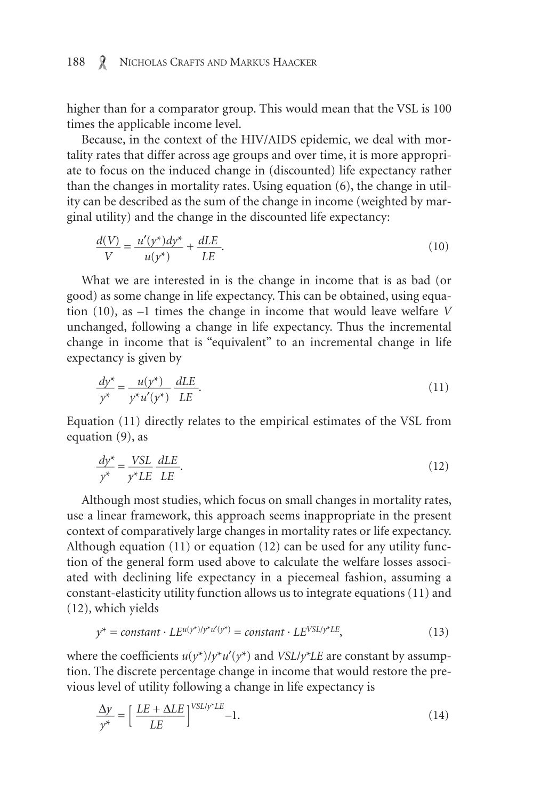#### 188 **NICHOLAS CRAFTS AND MARKUS HAACKER**

higher than for a comparator group. This would mean that the VSL is 100 times the applicable income level.

Because, in the context of the HIV/AIDS epidemic, we deal with mortality rates that differ across age groups and over time, it is more appropriate to focus on the induced change in (discounted) life expectancy rather than the changes in mortality rates. Using equation (6), the change in utility can be described as the sum of the change in income (weighted by marginal utility) and the change in the discounted life expectancy:

$$
\frac{d(V)}{V} = \frac{u'(y^*)dy^*}{u(y^*)} + \frac{dLE}{LE}.\tag{10}
$$

What we are interested in is the change in income that is as bad (or good) as some change in life expectancy. This can be obtained, using equation (10), as –1 times the change in income that would leave welfare *V* unchanged, following a change in life expectancy. Thus the incremental change in income that is "equivalent" to an incremental change in life expectancy is given by

$$
\frac{dy^*}{y^*} = \frac{u(y^*)}{y^*u'(y^*)} \frac{dLE}{LE}.
$$
\n(11)

Equation (11) directly relates to the empirical estimates of the VSL from equation (9), as

$$
\frac{dy^*}{y^*} = \frac{VSL}{y^*LE} \frac{dLE}{LE}.
$$
\n(12)

Although most studies, which focus on small changes in mortality rates, use a linear framework, this approach seems inappropriate in the present context of comparatively large changes in mortality rates or life expectancy. Although equation (11) or equation (12) can be used for any utility function of the general form used above to calculate the welfare losses associated with declining life expectancy in a piecemeal fashion, assuming a constant-elasticity utility function allows us to integrate equations (11) and (12), which yields

$$
y^* = constant \cdot LE^{u(y^*)/y^*u'(y^*)} = constant \cdot LE^{VSL/y^*LE},\tag{13}
$$

where the coefficients  $u(y^*)/y^*u'(y^*)$  and *VSL/y*<sup>\*</sup>*LE* are constant by assumption. The discrete percentage change in income that would restore the previous level of utility following a change in life expectancy is

$$
\frac{\Delta y}{y^*} = \left[\frac{LE + \Delta LE}{LE}\right]^{VSL/y^*LE} - 1.
$$
\n(14)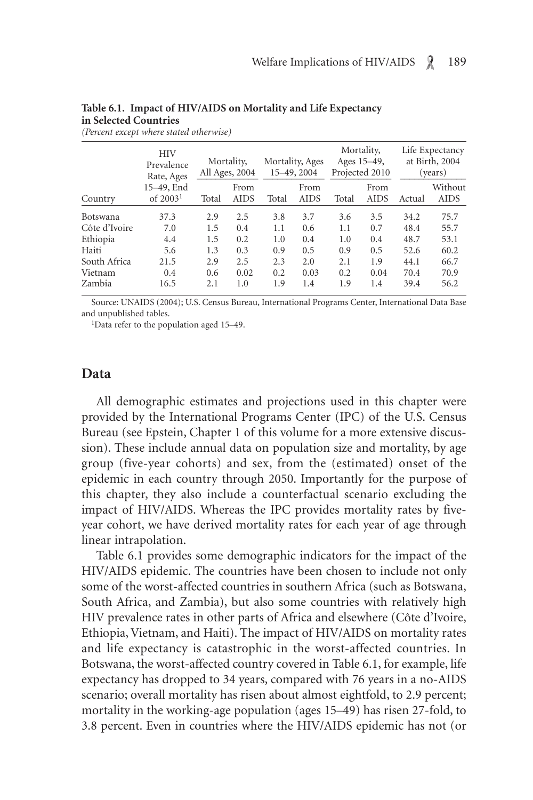|                 | <b>HIV</b><br>Prevalence<br>Rate, Ages | Mortality,<br>All Ages, 2004 |                     | Mortality, Ages<br>15-49, 2004 |              | Mortality,<br>Ages 15-49,<br>Projected 2010 |                     | Life Expectancy<br>at Birth, 2004<br>(years) |                        |
|-----------------|----------------------------------------|------------------------------|---------------------|--------------------------------|--------------|---------------------------------------------|---------------------|----------------------------------------------|------------------------|
| Country         | 15-49, End<br>of $20031$               | Total                        | From<br><b>AIDS</b> | Total                          | From<br>AIDS | Total                                       | From<br><b>AIDS</b> | Actual                                       | Without<br><b>AIDS</b> |
| <b>Botswana</b> | 37.3                                   | 2.9                          | 2.5                 | 3.8                            | 3.7          | 3.6                                         | 3.5                 | 34.2                                         | 75.7                   |
| Côte d'Ivoire   | 7.0                                    | 1.5                          | 0.4                 | 1.1                            | 0.6          | 1.1                                         | 0.7                 | 48.4                                         | 55.7                   |
| Ethiopia        | 4.4                                    | 1.5                          | 0.2                 | 1.0                            | 0.4          | 1.0                                         | 0.4                 | 48.7                                         | 53.1                   |
| Haiti           | 5.6                                    | 1.3                          | 0.3                 | 0.9                            | 0.5          | 0.9                                         | 0.5                 | 52.6                                         | 60.2                   |
| South Africa    | 21.5                                   | 2.9                          | 2.5                 | 2.3                            | 2.0          | 2.1                                         | 1.9                 | 44.1                                         | 66.7                   |
| Vietnam         | 0.4                                    | 0.6                          | 0.02                | 0.2                            | 0.03         | 0.2                                         | 0.04                | 70.4                                         | 70.9                   |
| Zambia          | 16.5                                   | 2.1                          | 1.0                 | 1.9                            | 1.4          | 1.9                                         | 1.4                 | 39.4                                         | 56.2                   |

**Table 6.1. Impact of HIV/AIDS on Mortality and Life Expectancy in Selected Countries**  *(Percent except where stated otherwise)* 

Source: UNAIDS (2004); U.S. Census Bureau, International Programs Center, International Data Base and unpublished tables.

1Data refer to the population aged 15–49.

# **Data**

All demographic estimates and projections used in this chapter were provided by the International Programs Center (IPC) of the U.S. Census Bureau (see Epstein, Chapter 1 of this volume for a more extensive discussion). These include annual data on population size and mortality, by age group (five-year cohorts) and sex, from the (estimated) onset of the epidemic in each country through 2050. Importantly for the purpose of this chapter, they also include a counterfactual scenario excluding the impact of HIV/AIDS. Whereas the IPC provides mortality rates by fiveyear cohort, we have derived mortality rates for each year of age through linear intrapolation.

Table 6.1 provides some demographic indicators for the impact of the HIV/AIDS epidemic. The countries have been chosen to include not only some of the worst-affected countries in southern Africa (such as Botswana, South Africa, and Zambia), but also some countries with relatively high HIV prevalence rates in other parts of Africa and elsewhere (Côte d'Ivoire, Ethiopia, Vietnam, and Haiti). The impact of HIV/AIDS on mortality rates and life expectancy is catastrophic in the worst-affected countries. In Botswana, the worst-affected country covered in Table 6.1, for example, life expectancy has dropped to 34 years, compared with 76 years in a no-AIDS scenario; overall mortality has risen about almost eightfold, to 2.9 percent; mortality in the working-age population (ages 15–49) has risen 27-fold, to 3.8 percent. Even in countries where the HIV/AIDS epidemic has not (or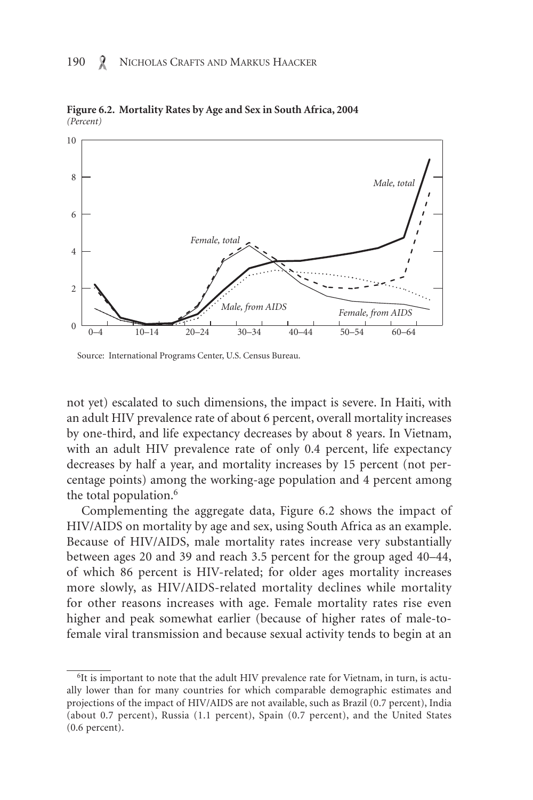#### 190 R NICHOLAS CRAFTS AND MARKUS HAACKER



**Figure 6.2. Mortality Rates by Age and Sex in South Africa, 2004** *(Percent)*

Source: International Programs Center, U.S. Census Bureau.

not yet) escalated to such dimensions, the impact is severe. In Haiti, with an adult HIV prevalence rate of about 6 percent, overall mortality increases by one-third, and life expectancy decreases by about 8 years. In Vietnam, with an adult HIV prevalence rate of only 0.4 percent, life expectancy decreases by half a year, and mortality increases by 15 percent (not percentage points) among the working-age population and 4 percent among the total population.<sup>6</sup>

Complementing the aggregate data, Figure 6.2 shows the impact of HIV/AIDS on mortality by age and sex, using South Africa as an example. Because of HIV/AIDS, male mortality rates increase very substantially between ages 20 and 39 and reach 3.5 percent for the group aged 40–44, of which 86 percent is HIV-related; for older ages mortality increases more slowly, as HIV/AIDS-related mortality declines while mortality for other reasons increases with age. Female mortality rates rise even higher and peak somewhat earlier (because of higher rates of male-tofemale viral transmission and because sexual activity tends to begin at an

<sup>&</sup>lt;sup>6</sup>It is important to note that the adult HIV prevalence rate for Vietnam, in turn, is actually lower than for many countries for which comparable demographic estimates and projections of the impact of HIV/AIDS are not available, such as Brazil (0.7 percent), India (about 0.7 percent), Russia (1.1 percent), Spain (0.7 percent), and the United States (0.6 percent).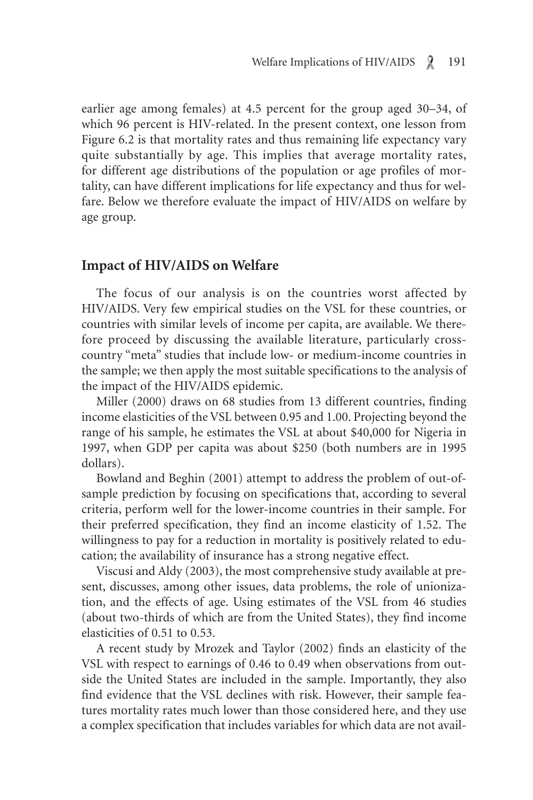earlier age among females) at 4.5 percent for the group aged 30–34, of which 96 percent is HIV-related. In the present context, one lesson from Figure 6.2 is that mortality rates and thus remaining life expectancy vary quite substantially by age. This implies that average mortality rates, for different age distributions of the population or age profiles of mortality, can have different implications for life expectancy and thus for welfare. Below we therefore evaluate the impact of HIV/AIDS on welfare by age group.

# **Impact of HIV/AIDS on Welfare**

The focus of our analysis is on the countries worst affected by HIV/AIDS. Very few empirical studies on the VSL for these countries, or countries with similar levels of income per capita, are available. We therefore proceed by discussing the available literature, particularly crosscountry "meta" studies that include low- or medium-income countries in the sample; we then apply the most suitable specifications to the analysis of the impact of the HIV/AIDS epidemic.

Miller (2000) draws on 68 studies from 13 different countries, finding income elasticities of the VSL between 0.95 and 1.00. Projecting beyond the range of his sample, he estimates the VSL at about \$40,000 for Nigeria in 1997, when GDP per capita was about \$250 (both numbers are in 1995 dollars).

Bowland and Beghin (2001) attempt to address the problem of out-ofsample prediction by focusing on specifications that, according to several criteria, perform well for the lower-income countries in their sample. For their preferred specification, they find an income elasticity of 1.52. The willingness to pay for a reduction in mortality is positively related to education; the availability of insurance has a strong negative effect.

Viscusi and Aldy (2003), the most comprehensive study available at present, discusses, among other issues, data problems, the role of unionization, and the effects of age. Using estimates of the VSL from 46 studies (about two-thirds of which are from the United States), they find income elasticities of 0.51 to 0.53.

A recent study by Mrozek and Taylor (2002) finds an elasticity of the VSL with respect to earnings of 0.46 to 0.49 when observations from outside the United States are included in the sample. Importantly, they also find evidence that the VSL declines with risk. However, their sample features mortality rates much lower than those considered here, and they use a complex specification that includes variables for which data are not avail-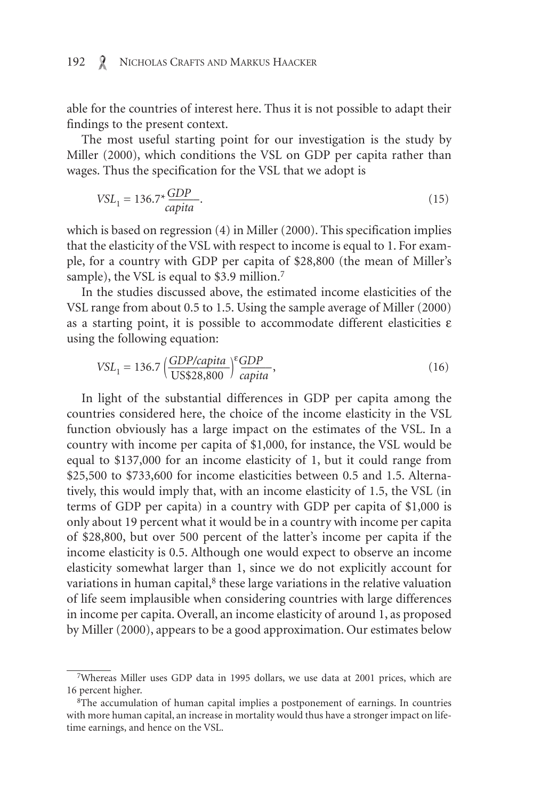#### 192 **NICHOLAS CRAFTS AND MARKUS HAACKER**

able for the countries of interest here. Thus it is not possible to adapt their findings to the present context.

The most useful starting point for our investigation is the study by Miller (2000), which conditions the VSL on GDP per capita rather than wages. Thus the specification for the VSL that we adopt is

$$
VSL_1 = 136.7 \times \frac{GDP}{capita}.
$$
\n<sup>(15)</sup>

which is based on regression (4) in Miller (2000). This specification implies that the elasticity of the VSL with respect to income is equal to 1. For example, for a country with GDP per capita of \$28,800 (the mean of Miller's sample), the VSL is equal to \$3.9 million.<sup>7</sup>

In the studies discussed above, the estimated income elasticities of the VSL range from about 0.5 to 1.5. Using the sample average of Miller (2000) as a starting point, it is possible to accommodate different elasticities ε using the following equation:

$$
VSL_1 = 136.7 \left(\frac{GDP/capita}{US\$28,800}\right)^{\epsilon} \frac{GDP}{capita},\tag{16}
$$

In light of the substantial differences in GDP per capita among the countries considered here, the choice of the income elasticity in the VSL function obviously has a large impact on the estimates of the VSL. In a country with income per capita of \$1,000, for instance, the VSL would be equal to \$137,000 for an income elasticity of 1, but it could range from \$25,500 to \$733,600 for income elasticities between 0.5 and 1.5. Alternatively, this would imply that, with an income elasticity of 1.5, the VSL (in terms of GDP per capita) in a country with GDP per capita of \$1,000 is only about 19 percent what it would be in a country with income per capita of \$28,800, but over 500 percent of the latter's income per capita if the income elasticity is 0.5. Although one would expect to observe an income elasticity somewhat larger than 1, since we do not explicitly account for variations in human capital,<sup>8</sup> these large variations in the relative valuation of life seem implausible when considering countries with large differences in income per capita. Overall, an income elasticity of around 1, as proposed by Miller (2000), appears to be a good approximation. Our estimates below

<sup>7</sup>Whereas Miller uses GDP data in 1995 dollars, we use data at 2001 prices, which are 16 percent higher.

<sup>8</sup>The accumulation of human capital implies a postponement of earnings. In countries with more human capital, an increase in mortality would thus have a stronger impact on lifetime earnings, and hence on the VSL.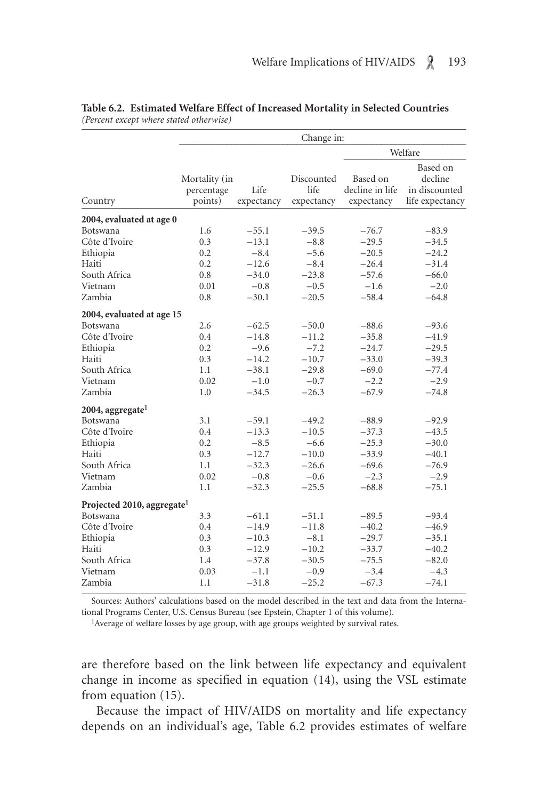|                                                                                                                                                                                                                                                       | Change in:                                                                                       |                                                                                                                                                    |                                                                                                                                                    |                                                                                                                                                      |                                                                                                                                                      |  |
|-------------------------------------------------------------------------------------------------------------------------------------------------------------------------------------------------------------------------------------------------------|--------------------------------------------------------------------------------------------------|----------------------------------------------------------------------------------------------------------------------------------------------------|----------------------------------------------------------------------------------------------------------------------------------------------------|------------------------------------------------------------------------------------------------------------------------------------------------------|------------------------------------------------------------------------------------------------------------------------------------------------------|--|
|                                                                                                                                                                                                                                                       |                                                                                                  |                                                                                                                                                    |                                                                                                                                                    | Welfare                                                                                                                                              |                                                                                                                                                      |  |
| Country                                                                                                                                                                                                                                               | Mortality (in<br>percentage<br>points)                                                           | Life<br>expectancy                                                                                                                                 | Discounted<br>life<br>expectancy                                                                                                                   | Based on<br>decline in life<br>expectancy                                                                                                            | Based on<br>decline<br>in discounted<br>life expectancy                                                                                              |  |
| 2004, evaluated at age 0                                                                                                                                                                                                                              |                                                                                                  |                                                                                                                                                    |                                                                                                                                                    |                                                                                                                                                      |                                                                                                                                                      |  |
| <b>Botswana</b><br>Côte d'Ivoire<br>Ethiopia<br>Haiti<br>South Africa<br>Vietnam                                                                                                                                                                      | 1.6<br>0.3<br>0.2<br>0.2<br>0.8<br>0.01                                                          | $-55.1$<br>$-13.1$<br>$-8.4$<br>$-12.6$<br>$-34.0$<br>$-0.8$                                                                                       | $-39.5$<br>$-8.8$<br>$-5.6$<br>$-8.4$<br>$-23.8$<br>$-0.5$                                                                                         | $-76.7$<br>$-29.5$<br>$-20.5$<br>$-26.4$<br>$-57.6$<br>$-1.6$                                                                                        | $-83.9$<br>$-34.5$<br>$-24.2$<br>$-31.4$<br>$-66.0$<br>$-2.0$                                                                                        |  |
| Zambia                                                                                                                                                                                                                                                | 0.8                                                                                              | $-30.1$                                                                                                                                            | $-20.5$                                                                                                                                            | $-58.4$                                                                                                                                              | $-64.8$                                                                                                                                              |  |
| 2004, evaluated at age 15<br><b>Botswana</b><br>Côte d'Ivoire<br>Ethiopia<br>Haiti<br>South Africa<br>Vietnam<br>Zambia<br>2004, aggregate <sup>1</sup><br><b>Botswana</b><br>Côte d'Ivoire<br>Ethiopia<br>Haiti<br>South Africa<br>Vietnam<br>Zambia | 2.6<br>0.4<br>0.2<br>0.3<br>1.1<br>0.02<br>1.0<br>3.1<br>0.4<br>0.2<br>0.3<br>1.1<br>0.02<br>1.1 | $-62.5$<br>$-14.8$<br>$-9.6$<br>$-14.2$<br>$-38.1$<br>$-1.0$<br>$-34.5$<br>$-59.1$<br>$-13.3$<br>$-8.5$<br>$-12.7$<br>$-32.3$<br>$-0.8$<br>$-32.3$ | $-50.0$<br>$-11.2$<br>$-7.2$<br>$-10.7$<br>$-29.8$<br>$-0.7$<br>$-26.3$<br>$-49.2$<br>$-10.5$<br>$-6.6$<br>$-10.0$<br>$-26.6$<br>$-0.6$<br>$-25.5$ | $-88.6$<br>$-35.8$<br>$-24.7$<br>$-33.0$<br>$-69.0$<br>$-2.2$<br>$-67.9$<br>$-88.9$<br>$-37.3$<br>$-25.3$<br>$-33.9$<br>$-69.6$<br>$-2.3$<br>$-68.8$ | $-93.6$<br>$-41.9$<br>$-29.5$<br>$-39.3$<br>$-77.4$<br>$-2.9$<br>$-74.8$<br>$-92.9$<br>$-43.5$<br>$-30.0$<br>$-40.1$<br>$-76.9$<br>$-2.9$<br>$-75.1$ |  |
| Projected 2010, aggregate <sup>1</sup><br>Botswana<br>Côte d'Ivoire<br>Ethiopia<br>Haiti<br>South Africa<br>Vietnam<br>Zambia                                                                                                                         | 3.3<br>0.4<br>0.3<br>0.3<br>1.4<br>0.03<br>1.1                                                   | $-61.1$<br>$-14.9$<br>$-10.3$<br>$-12.9$<br>$-37.8$<br>$-1.1$<br>$-31.8$                                                                           | $-51.1$<br>$-11.8$<br>$-8.1$<br>$-10.2$<br>$-30.5$<br>$-0.9$<br>$-25.2$                                                                            | $-89.5$<br>$-40.2$<br>$-29.7$<br>$-33.7$<br>$-75.5$<br>$-3.4$<br>$-67.3$                                                                             | $-93.4$<br>$-46.9$<br>$-35.1$<br>$-40.2$<br>$-82.0$<br>$-4.3$<br>$-74.1$                                                                             |  |

| Table 6.2. Estimated Welfare Effect of Increased Mortality in Selected Countries |  |  |
|----------------------------------------------------------------------------------|--|--|
| (Percent except where stated otherwise)                                          |  |  |

Sources: Authors' calculations based on the model described in the text and data from the International Programs Center, U.S. Census Bureau (see Epstein, Chapter 1 of this volume).

<sup>1</sup> Average of welfare losses by age group, with age groups weighted by survival rates.

are therefore based on the link between life expectancy and equivalent change in income as specified in equation (14), using the VSL estimate from equation (15).

Because the impact of HIV/AIDS on mortality and life expectancy depends on an individual's age, Table 6.2 provides estimates of welfare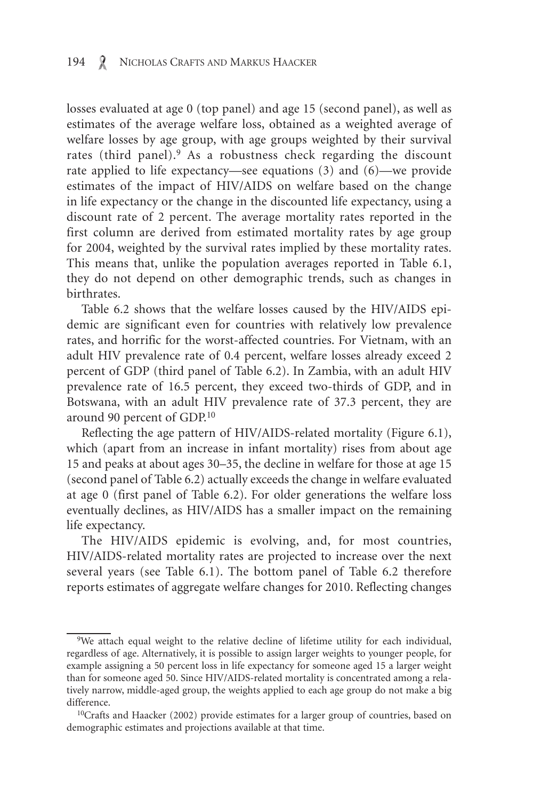losses evaluated at age 0 (top panel) and age 15 (second panel), as well as estimates of the average welfare loss, obtained as a weighted average of welfare losses by age group, with age groups weighted by their survival rates (third panel).9 As a robustness check regarding the discount rate applied to life expectancy—see equations (3) and (6)—we provide estimates of the impact of HIV/AIDS on welfare based on the change in life expectancy or the change in the discounted life expectancy, using a discount rate of 2 percent. The average mortality rates reported in the first column are derived from estimated mortality rates by age group for 2004, weighted by the survival rates implied by these mortality rates. This means that, unlike the population averages reported in Table 6.1, they do not depend on other demographic trends, such as changes in birthrates.

Table 6.2 shows that the welfare losses caused by the HIV/AIDS epidemic are significant even for countries with relatively low prevalence rates, and horrific for the worst-affected countries. For Vietnam, with an adult HIV prevalence rate of 0.4 percent, welfare losses already exceed 2 percent of GDP (third panel of Table 6.2). In Zambia, with an adult HIV prevalence rate of 16.5 percent, they exceed two-thirds of GDP, and in Botswana, with an adult HIV prevalence rate of 37.3 percent, they are around 90 percent of GDP.10

Reflecting the age pattern of HIV/AIDS-related mortality (Figure 6.1), which (apart from an increase in infant mortality) rises from about age 15 and peaks at about ages 30–35, the decline in welfare for those at age 15 (second panel of Table 6.2) actually exceeds the change in welfare evaluated at age 0 (first panel of Table 6.2). For older generations the welfare loss eventually declines, as HIV/AIDS has a smaller impact on the remaining life expectancy.

The HIV/AIDS epidemic is evolving, and, for most countries, HIV/AIDS-related mortality rates are projected to increase over the next several years (see Table 6.1). The bottom panel of Table 6.2 therefore reports estimates of aggregate welfare changes for 2010. Reflecting changes

<sup>&</sup>lt;sup>9</sup>We attach equal weight to the relative decline of lifetime utility for each individual, regardless of age. Alternatively, it is possible to assign larger weights to younger people, for example assigning a 50 percent loss in life expectancy for someone aged 15 a larger weight than for someone aged 50. Since HIV/AIDS-related mortality is concentrated among a relatively narrow, middle-aged group, the weights applied to each age group do not make a big difference.

<sup>&</sup>lt;sup>10</sup>Crafts and Haacker (2002) provide estimates for a larger group of countries, based on demographic estimates and projections available at that time.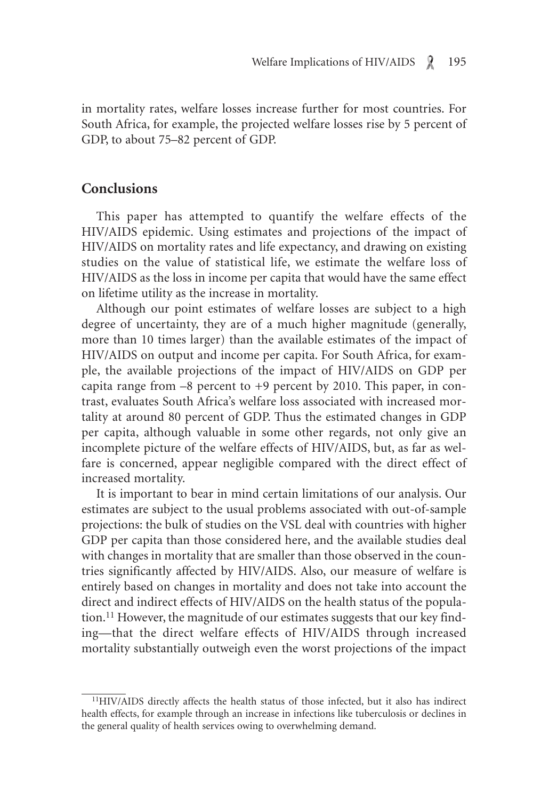in mortality rates, welfare losses increase further for most countries. For South Africa, for example, the projected welfare losses rise by 5 percent of GDP, to about 75–82 percent of GDP.

# **Conclusions**

This paper has attempted to quantify the welfare effects of the HIV/AIDS epidemic. Using estimates and projections of the impact of HIV/AIDS on mortality rates and life expectancy, and drawing on existing studies on the value of statistical life, we estimate the welfare loss of HIV/AIDS as the loss in income per capita that would have the same effect on lifetime utility as the increase in mortality.

Although our point estimates of welfare losses are subject to a high degree of uncertainty, they are of a much higher magnitude (generally, more than 10 times larger) than the available estimates of the impact of HIV/AIDS on output and income per capita. For South Africa, for example, the available projections of the impact of HIV/AIDS on GDP per capita range from  $-8$  percent to  $+9$  percent by 2010. This paper, in contrast, evaluates South Africa's welfare loss associated with increased mortality at around 80 percent of GDP. Thus the estimated changes in GDP per capita, although valuable in some other regards, not only give an incomplete picture of the welfare effects of HIV/AIDS, but, as far as welfare is concerned, appear negligible compared with the direct effect of increased mortality.

It is important to bear in mind certain limitations of our analysis. Our estimates are subject to the usual problems associated with out-of-sample projections: the bulk of studies on the VSL deal with countries with higher GDP per capita than those considered here, and the available studies deal with changes in mortality that are smaller than those observed in the countries significantly affected by HIV/AIDS. Also, our measure of welfare is entirely based on changes in mortality and does not take into account the direct and indirect effects of HIV/AIDS on the health status of the population.<sup>11</sup> However, the magnitude of our estimates suggests that our key finding—that the direct welfare effects of HIV/AIDS through increased mortality substantially outweigh even the worst projections of the impact

<sup>11</sup>HIV/AIDS directly affects the health status of those infected, but it also has indirect health effects, for example through an increase in infections like tuberculosis or declines in the general quality of health services owing to overwhelming demand.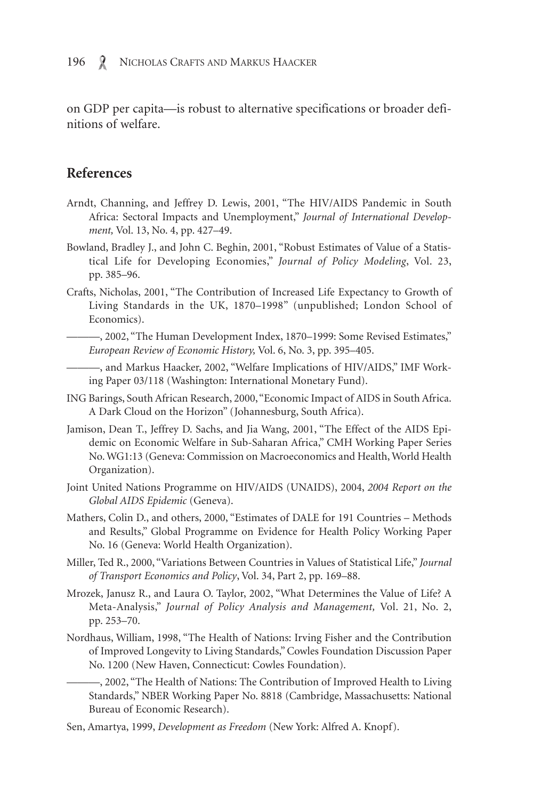on GDP per capita—is robust to alternative specifications or broader definitions of welfare.

# **References**

- Arndt, Channing, and Jeffrey D. Lewis, 2001, "The HIV/AIDS Pandemic in South Africa: Sectoral Impacts and Unemployment," *Journal of International Development,* Vol. 13, No. 4, pp. 427–49.
- Bowland, Bradley J., and John C. Beghin, 2001, "Robust Estimates of Value of a Statistical Life for Developing Economies," *Journal of Policy Modeling*, Vol. 23, pp. 385–96.
- Crafts, Nicholas, 2001, "The Contribution of Increased Life Expectancy to Growth of Living Standards in the UK, 1870–1998" (unpublished; London School of Economics).
	- ———, 2002, "The Human Development Index, 1870–1999: Some Revised Estimates," *European Review of Economic History,* Vol. 6, No. 3, pp. 395–405.
- ———, and Markus Haacker, 2002, "Welfare Implications of HIV/AIDS," IMF Working Paper 03/118 (Washington: International Monetary Fund).
- ING Barings, South African Research, 2000,"Economic Impact of AIDS in South Africa. A Dark Cloud on the Horizon" (Johannesburg, South Africa).
- Jamison, Dean T., Jeffrey D. Sachs, and Jia Wang, 2001, "The Effect of the AIDS Epidemic on Economic Welfare in Sub-Saharan Africa," CMH Working Paper Series No. WG1:13 (Geneva: Commission on Macroeconomics and Health, World Health Organization).
- Joint United Nations Programme on HIV/AIDS (UNAIDS), 2004, *2004 Report on the Global AIDS Epidemic* (Geneva).
- Mathers, Colin D., and others, 2000, "Estimates of DALE for 191 Countries Methods and Results," Global Programme on Evidence for Health Policy Working Paper No. 16 (Geneva: World Health Organization).
- Miller, Ted R., 2000, "Variations Between Countries in Values of Statistical Life," *Journal of Transport Economics and Policy*, Vol. 34, Part 2, pp. 169–88.
- Mrozek, Janusz R., and Laura O. Taylor, 2002, "What Determines the Value of Life? A Meta-Analysis," *Journal of Policy Analysis and Management,* Vol. 21, No. 2, pp. 253–70.
- Nordhaus, William, 1998, "The Health of Nations: Irving Fisher and the Contribution of Improved Longevity to Living Standards," Cowles Foundation Discussion Paper No. 1200 (New Haven, Connecticut: Cowles Foundation).
	- ———, 2002, "The Health of Nations: The Contribution of Improved Health to Living Standards," NBER Working Paper No. 8818 (Cambridge, Massachusetts: National Bureau of Economic Research).
- Sen, Amartya, 1999, *Development as Freedom* (New York: Alfred A. Knopf).